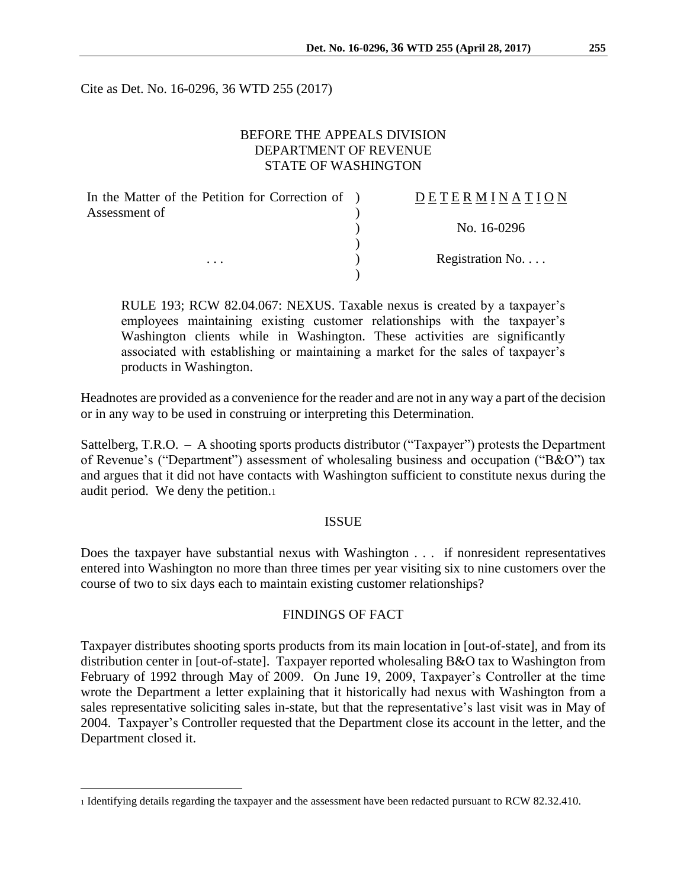Cite as Det. No. 16-0296, 36 WTD 255 (2017)

# BEFORE THE APPEALS DIVISION DEPARTMENT OF REVENUE STATE OF WASHINGTON

| In the Matter of the Petition for Correction of ) | DETERMINATION            |
|---------------------------------------------------|--------------------------|
| Assessment of                                     |                          |
|                                                   | No. 16-0296              |
|                                                   |                          |
| $\cdots$                                          | Registration No. $\dots$ |
|                                                   |                          |

RULE 193; RCW 82.04.067: NEXUS. Taxable nexus is created by a taxpayer's employees maintaining existing customer relationships with the taxpayer's Washington clients while in Washington. These activities are significantly associated with establishing or maintaining a market for the sales of taxpayer's products in Washington.

Headnotes are provided as a convenience for the reader and are not in any way a part of the decision or in any way to be used in construing or interpreting this Determination.

Sattelberg, T.R.O. – A shooting sports products distributor ("Taxpayer") protests the Department of Revenue's ("Department") assessment of wholesaling business and occupation ("B&O") tax and argues that it did not have contacts with Washington sufficient to constitute nexus during the audit period. We deny the petition.<sup>1</sup>

#### ISSUE

Does the taxpayer have substantial nexus with Washington . . . if nonresident representatives entered into Washington no more than three times per year visiting six to nine customers over the course of two to six days each to maintain existing customer relationships?

#### FINDINGS OF FACT

Taxpayer distributes shooting sports products from its main location in [out-of-state], and from its distribution center in [out-of-state]. Taxpayer reported wholesaling B&O tax to Washington from February of 1992 through May of 2009. On June 19, 2009, Taxpayer's Controller at the time wrote the Department a letter explaining that it historically had nexus with Washington from a sales representative soliciting sales in-state, but that the representative's last visit was in May of 2004. Taxpayer's Controller requested that the Department close its account in the letter, and the Department closed it.

 $\overline{a}$ 

<sup>1</sup> Identifying details regarding the taxpayer and the assessment have been redacted pursuant to RCW 82.32.410.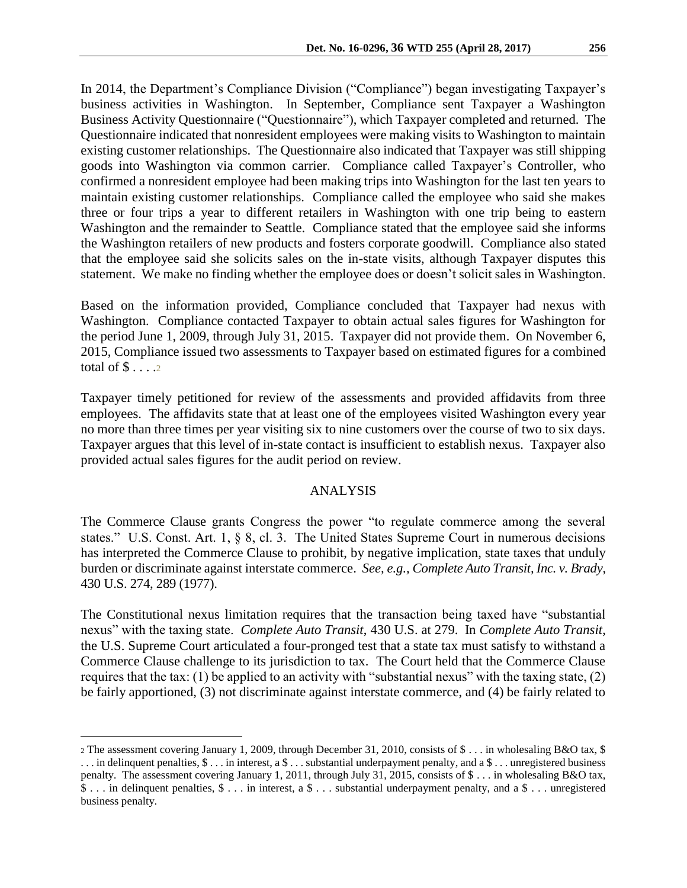In 2014, the Department's Compliance Division ("Compliance") began investigating Taxpayer's business activities in Washington. In September, Compliance sent Taxpayer a Washington Business Activity Questionnaire ("Questionnaire"), which Taxpayer completed and returned. The Questionnaire indicated that nonresident employees were making visits to Washington to maintain existing customer relationships. The Questionnaire also indicated that Taxpayer was still shipping goods into Washington via common carrier. Compliance called Taxpayer's Controller, who confirmed a nonresident employee had been making trips into Washington for the last ten years to maintain existing customer relationships. Compliance called the employee who said she makes three or four trips a year to different retailers in Washington with one trip being to eastern Washington and the remainder to Seattle. Compliance stated that the employee said she informs the Washington retailers of new products and fosters corporate goodwill. Compliance also stated that the employee said she solicits sales on the in-state visits, although Taxpayer disputes this statement. We make no finding whether the employee does or doesn't solicit sales in Washington.

Based on the information provided, Compliance concluded that Taxpayer had nexus with Washington. Compliance contacted Taxpayer to obtain actual sales figures for Washington for the period June 1, 2009, through July 31, 2015. Taxpayer did not provide them. On November 6, 2015, Compliance issued two assessments to Taxpayer based on estimated figures for a combined total of  $\$\ldots$  ...

Taxpayer timely petitioned for review of the assessments and provided affidavits from three employees. The affidavits state that at least one of the employees visited Washington every year no more than three times per year visiting six to nine customers over the course of two to six days. Taxpayer argues that this level of in-state contact is insufficient to establish nexus. Taxpayer also provided actual sales figures for the audit period on review.

# ANALYSIS

The Commerce Clause grants Congress the power "to regulate commerce among the several states." U.S. Const. Art. 1, § 8, cl. 3. The United States Supreme Court in numerous decisions has interpreted the Commerce Clause to prohibit, by negative implication, state taxes that unduly burden or discriminate against interstate commerce. *See, e.g., Complete Auto Transit, Inc. v. Brady*, 430 U.S. 274, 289 (1977).

The Constitutional nexus limitation requires that the transaction being taxed have "substantial nexus" with the taxing state. *Complete Auto Transit*, 430 U.S. at 279. In *Complete Auto Transit*, the U.S. Supreme Court articulated a four-pronged test that a state tax must satisfy to withstand a Commerce Clause challenge to its jurisdiction to tax. The Court held that the Commerce Clause requires that the tax: (1) be applied to an activity with "substantial nexus" with the taxing state, (2) be fairly apportioned, (3) not discriminate against interstate commerce, and (4) be fairly related to

 $\overline{a}$ 

<sup>2</sup> The assessment covering January 1, 2009, through December 31, 2010, consists of \$ . . . in wholesaling B&O tax, \$  $\dots$  in delinquent penalties,  $\S \dots$  in interest, a  $\S \dots$  substantial underpayment penalty, and a  $\S \dots$  unregistered business penalty. The assessment covering January 1, 2011, through July 31, 2015, consists of \$ . . . in wholesaling B&O tax, \$ . . . in delinquent penalties, \$ . . . in interest, a \$ . . . substantial underpayment penalty, and a \$ . . . unregistered business penalty.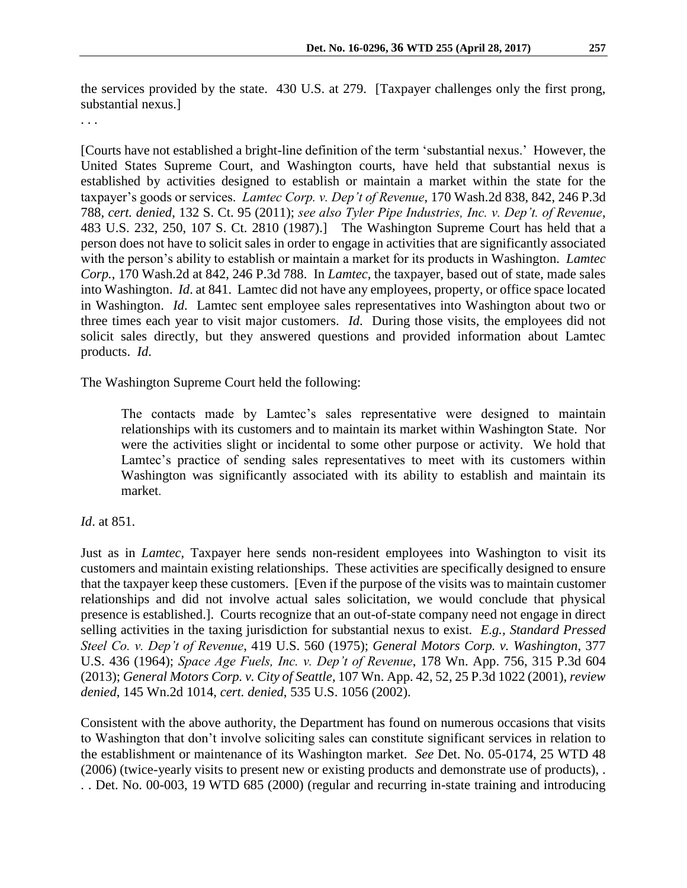the services provided by the state. 430 U.S. at 279. [Taxpayer challenges only the first prong, substantial nexus.]

. . .

[Courts have not established a bright-line definition of the term 'substantial nexus.' However, the United States Supreme Court, and Washington courts, have held that substantial nexus is established by activities designed to establish or maintain a market within the state for the taxpayer's goods or services. *Lamtec Corp. v. Dep't of Revenue*, 170 Wash.2d 838, 842, 246 P.3d 788, *cert. denied*, 132 S. Ct. 95 (2011); *see also Tyler Pipe Industries, Inc. v. Dep't. of Revenue*, 483 U.S. 232, 250, 107 S. Ct. 2810 (1987).] The Washington Supreme Court has held that a person does not have to solicit sales in order to engage in activities that are significantly associated with the person's ability to establish or maintain a market for its products in Washington. *Lamtec Corp.*, 170 Wash.2d at 842, 246 P.3d 788. In *Lamtec*, the taxpayer, based out of state, made sales into Washington. *Id*. at 841. Lamtec did not have any employees, property, or office space located in Washington. *Id*. Lamtec sent employee sales representatives into Washington about two or three times each year to visit major customers. *Id*. During those visits, the employees did not solicit sales directly, but they answered questions and provided information about Lamtec products. *Id*.

The Washington Supreme Court held the following:

The contacts made by Lamtec's sales representative were designed to maintain relationships with its customers and to maintain its market within Washington State. Nor were the activities slight or incidental to some other purpose or activity. We hold that Lamtec's practice of sending sales representatives to meet with its customers within Washington was significantly associated with its ability to establish and maintain its market.

# *Id*. at 851.

Just as in *Lamtec*, Taxpayer here sends non-resident employees into Washington to visit its customers and maintain existing relationships. These activities are specifically designed to ensure that the taxpayer keep these customers. [Even if the purpose of the visits was to maintain customer relationships and did not involve actual sales solicitation, we would conclude that physical presence is established.]. Courts recognize that an out-of-state company need not engage in direct selling activities in the taxing jurisdiction for substantial nexus to exist. *E.g., Standard Pressed Steel Co. v. Dep't of Revenue*, 419 U.S. 560 (1975); *General Motors Corp. v. Washington*, 377 U.S. 436 (1964); *Space Age Fuels, Inc. v. Dep't of Revenue*, 178 Wn. App. 756, 315 P.3d 604 (2013); *General Motors Corp. v. City of Seattle*, 107 Wn. App. 42, 52, 25 P.3d 1022 (2001), *review denied*, 145 Wn.2d 1014, *cert. denied*, 535 U.S. 1056 (2002).

Consistent with the above authority, the Department has found on numerous occasions that visits to Washington that don't involve soliciting sales can constitute significant services in relation to the establishment or maintenance of its Washington market. *See* Det. No. 05-0174, 25 WTD 48 (2006) (twice-yearly visits to present new or existing products and demonstrate use of products), . . . Det. No. 00-003, 19 WTD 685 (2000) (regular and recurring in-state training and introducing